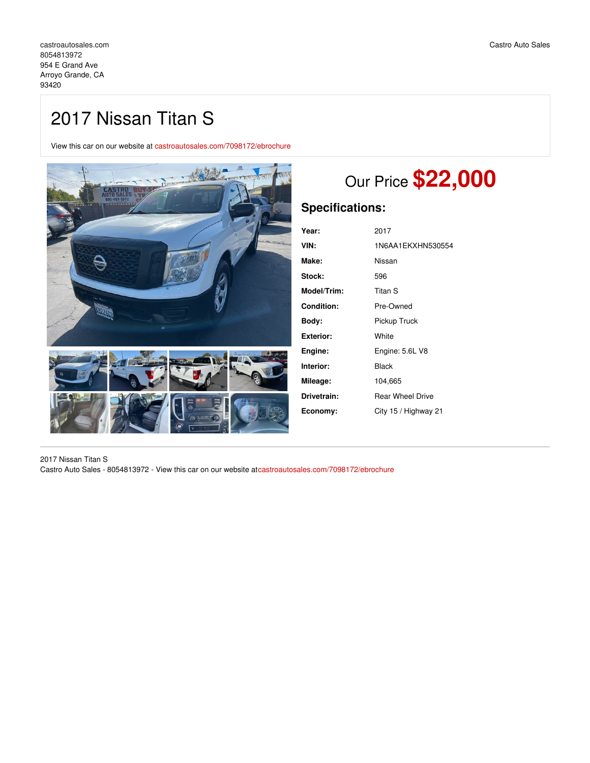## 2017 Nissan Titan S

View this car on our website at [castroautosales.com/7098172/ebrochure](https://castroautosales.com/vehicle/7098172/2017-nissan-titan-s-arroyo-grande-ca-93420/7098172/ebrochure)



# Our Price **\$22,000**

## **Specifications:**

| 2017                    |
|-------------------------|
| 1N6AA1EKXHN530554       |
| Nissan                  |
| 596                     |
| Titan S                 |
| Pre-Owned               |
| Pickup Truck            |
| White                   |
| Engine: 5.6L V8         |
| Black                   |
| 104,665                 |
| <b>Rear Wheel Drive</b> |
| City 15 / Highway 21    |
|                         |

2017 Nissan Titan S Castro Auto Sales - 8054813972 - View this car on our website at[castroautosales.com/7098172/ebrochure](https://castroautosales.com/vehicle/7098172/2017-nissan-titan-s-arroyo-grande-ca-93420/7098172/ebrochure)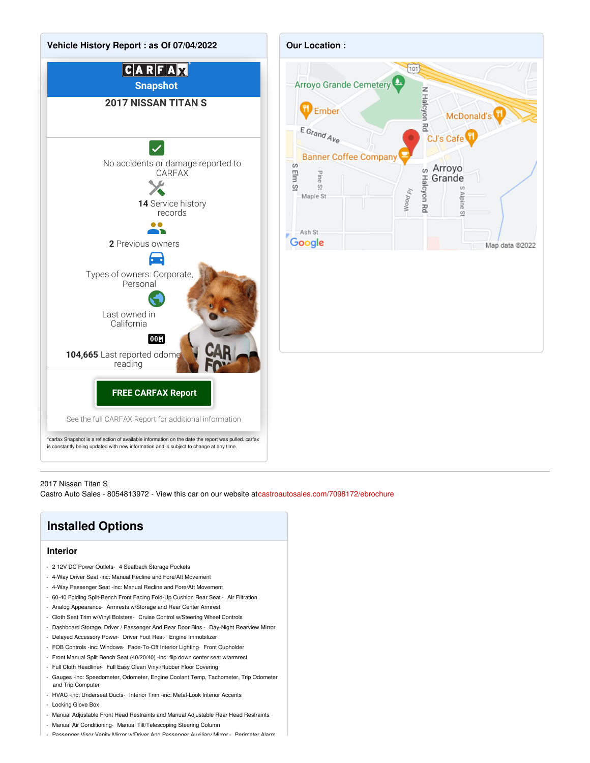

### 2017 Nissan Titan S

Castro Auto Sales - 8054813972 - View this car on our website at[castroautosales.com/7098172/ebrochure](https://castroautosales.com/vehicle/7098172/2017-nissan-titan-s-arroyo-grande-ca-93420/7098172/ebrochure)

## **Installed Options**

### **Interior**

- 2 12V DC Power Outlets- 4 Seatback Storage Pockets
- 4-Way Driver Seat -inc: Manual Recline and Fore/Aft Movement
- 4-Way Passenger Seat -inc: Manual Recline and Fore/Aft Movement
- 60-40 Folding Split-Bench Front Facing Fold-Up Cushion Rear Seat Air Filtration
- Analog Appearance- Armrests w/Storage and Rear Center Armrest
- Cloth Seat Trim w/Vinyl Bolsters- Cruise Control w/Steering Wheel Controls
- Dashboard Storage, Driver / Passenger And Rear Door Bins Day-Night Rearview Mirror
- Delayed Accessory Power- Driver Foot Rest- Engine Immobilizer
- FOB Controls -inc: Windows- Fade-To-Off Interior Lighting- Front Cupholder
- Front Manual Split Bench Seat (40/20/40) -inc: flip down center seat w/armrest
- Full Cloth Headliner- Full Easy Clean Vinyl/Rubber Floor Covering
- Gauges -inc: Speedometer, Odometer, Engine Coolant Temp, Tachometer, Trip Odometer and Trip Computer
- HVAC -inc: Underseat Ducts- Interior Trim -inc: Metal-Look Interior Accents
- Locking Glove Box
- Manual Adjustable Front Head Restraints and Manual Adjustable Rear Head Restraints
- Manual Air Conditioning- Manual Tilt/Telescoping Steering Column
- Passenger Visor Vanity Mirror w/Driver And Passenger Auxiliary Mirror Perimeter Alarm